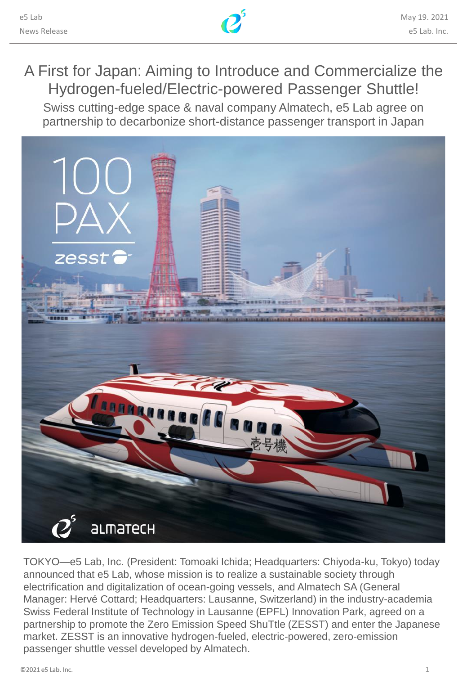

# A First for Japan: Aiming to Introduce and Commercialize the Hydrogen-fueled/Electric-powered Passenger Shuttle!

Swiss cutting-edge space & naval company Almatech, e5 Lab agree on partnership to decarbonize short-distance passenger transport in Japan



TOKYO—e5 Lab, Inc. (President: Tomoaki Ichida; Headquarters: Chiyoda-ku, Tokyo) today announced that e5 Lab, whose mission is to realize a sustainable society through electrification and digitalization of ocean-going vessels, and Almatech SA (General Manager: Hervé Cottard; Headquarters: Lausanne, Switzerland) in the industry-academia Swiss Federal Institute of Technology in Lausanne (EPFL) Innovation Park, agreed on a partnership to promote the Zero Emission Speed ShuTtle (ZESST) and enter the Japanese market. ZESST is an innovative hydrogen-fueled, electric-powered, zero-emission passenger shuttle vessel developed by Almatech.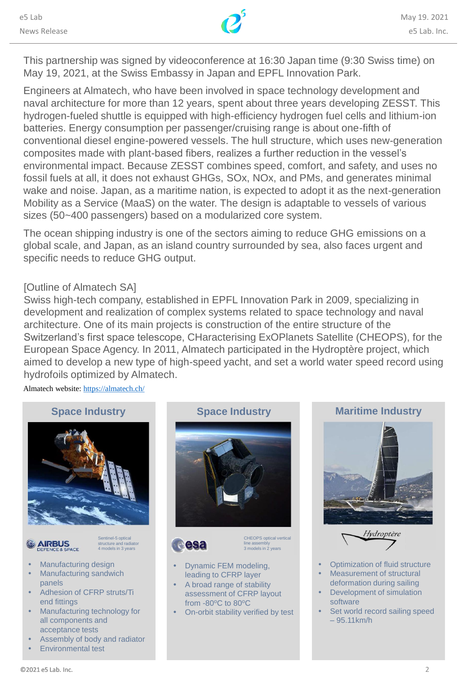

This partnership was signed by videoconference at 16:30 Japan time (9:30 Swiss time) on May 19, 2021, at the Swiss Embassy in Japan and EPFL Innovation Park.

Engineers at Almatech, who have been involved in space technology development and naval architecture for more than 12 years, spent about three years developing ZESST. This hydrogen-fueled shuttle is equipped with high-efficiency hydrogen fuel cells and lithium-ion batteries. Energy consumption per passenger/cruising range is about one-fifth of conventional diesel engine-powered vessels. The hull structure, which uses new-generation composites made with plant-based fibers, realizes a further reduction in the vessel's environmental impact. Because ZESST combines speed, comfort, and safety, and uses no fossil fuels at all, it does not exhaust GHGs, SOx, NOx, and PMs, and generates minimal wake and noise. Japan, as a maritime nation, is expected to adopt it as the next-generation Mobility as a Service (MaaS) on the water. The design is adaptable to vessels of various sizes (50~400 passengers) based on a modularized core system.

The ocean shipping industry is one of the sectors aiming to reduce GHG emissions on a global scale, and Japan, as an island country surrounded by sea, also faces urgent and specific needs to reduce GHG output.

## [Outline of Almatech SA]

Swiss high-tech company, established in EPFL Innovation Park in 2009, specializing in development and realization of complex systems related to space technology and naval architecture. One of its main projects is construction of the entire structure of the Switzerland's first space telescope, CHaracterising ExOPlanets Satellite (CHEOPS), for the European Space Agency. In 2011, Almatech participated in the Hydroptère project, which aimed to develop a new type of high-speed yacht, and set a world water speed record using hydrofoils optimized by Almatech.

Almatech website: <https://almatech.ch/>



Sentinel-5 optical structure and radiator 4 models in 3 years

# **AIRBUS**

- Manufacturing design
- Manufacturing sandwich panels
- Adhesion of CFRP struts/Ti end fittings
- Manufacturing technology for all components and acceptance tests
- Assembly of body and radiator
- Environmental test





CHEOPS optical vertical line assembly 3 models in 2 years

- Dynamic FEM modeling, leading to CFRP layer
- A broad range of stability assessment of CFRP layout from -80°C to 80°C
- On-orbit stability verified by test





Hydroptère

- Optimization of fluid structure
- Measurement of structural deformation during sailing
- Development of simulation software
- Set world record sailing speed – 95.11km/h